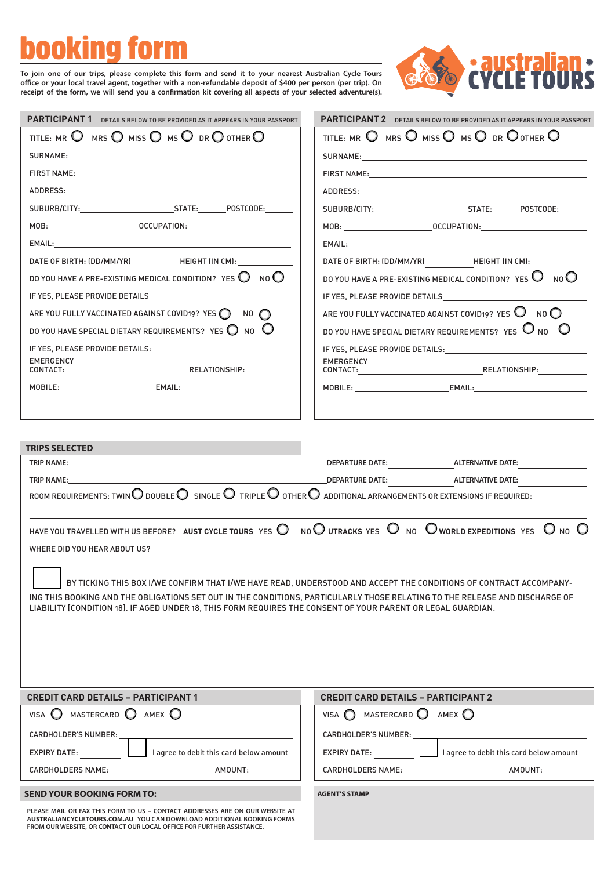# booking form

To join one of our trips, please complete this form and send it to your nearest Australian Cycle Tours office or your local travel agent, together with a non-refundable deposit of \$400 per person (per trip). On receipt of the form, we will send you a confirmation kit covering all aspects of your selected adventure(s).



| <b>PARTICIPANT 1</b><br>DETAILS BELOW TO BE PROVIDED AS IT APPEARS IN YOUR PASSPORT              | <b>PARTICIPANT 2</b> DETAILS BELOW TO BE PROVIDED AS IT APPEARS IN YOUR PASSPORT                                                                                                                                              |
|--------------------------------------------------------------------------------------------------|-------------------------------------------------------------------------------------------------------------------------------------------------------------------------------------------------------------------------------|
| TITLE: MR $\bigcirc$ mrs $\bigcirc$ miss $\bigcirc$ ms $\bigcirc$ dr $\bigcirc$ other $\bigcirc$ | TITLE: MR $\bigcirc$ mrs $\bigcirc$ miss $\bigcirc$ ms $\bigcirc$ dr $\bigcirc$ other $\bigcirc$                                                                                                                              |
|                                                                                                  |                                                                                                                                                                                                                               |
|                                                                                                  | FIRST NAME: North and the second state of the second state of the second state of the second state of the second state of the second state of the second state of the second state of the second state of the second state of |
|                                                                                                  |                                                                                                                                                                                                                               |
|                                                                                                  |                                                                                                                                                                                                                               |
|                                                                                                  |                                                                                                                                                                                                                               |
|                                                                                                  |                                                                                                                                                                                                                               |
|                                                                                                  |                                                                                                                                                                                                                               |
| DO YOU HAVE A PRE-EXISTING MEDICAL CONDITION? YES $\bigcirc$ NO $\bigcirc$                       | DO YOU HAVE A PRE-EXISTING MEDICAL CONDITION? YES $O_{0}$ No $O$                                                                                                                                                              |
| IF YES, PLEASE PROVIDE DETAILS                                                                   | IF YES, PLEASE PROVIDE DETAILS                                                                                                                                                                                                |
| ARE YOU FULLY VACCINATED AGAINST COVID19? YES $\bigcirc$ NO $\bigcirc$                           | ARE YOU FULLY VACCINATED AGAINST COVID19? YES $\mathbb O$ No $\mathbb O$                                                                                                                                                      |
| DO YOU HAVE SPECIAL DIETARY REQUIREMENTS? YES $\bigcirc$ no $\bigcirc$                           | DO YOU HAVE SPECIAL DIETARY REQUIREMENTS? YES $\mathbb O$ No $\mathbb O$                                                                                                                                                      |
| IF YES, PLEASE PROVIDE DETAILS: THE YES, PLEASE PROVIDE DETAILS:                                 | IF YES, PLEASE PROVIDE DETAILS: North and the contract of the contract of the contract of the contract of the contract of the contract of the contract of the contract of the contract of the contract of the contract of the |
| EMERGENCY                                                                                        | EMERGENCY                                                                                                                                                                                                                     |
|                                                                                                  |                                                                                                                                                                                                                               |
|                                                                                                  |                                                                                                                                                                                                                               |
|                                                                                                  |                                                                                                                                                                                                                               |

| <b>TRIPS SELECTED</b> |
|-----------------------|
|-----------------------|

| <b>TRIP NAME:</b>                                                                                                                                                                                                                                                                                                                                                |                                                                                                                                                                      |  |
|------------------------------------------------------------------------------------------------------------------------------------------------------------------------------------------------------------------------------------------------------------------------------------------------------------------------------------------------------------------|----------------------------------------------------------------------------------------------------------------------------------------------------------------------|--|
| <b>TRIP NAME:</b>                                                                                                                                                                                                                                                                                                                                                |                                                                                                                                                                      |  |
|                                                                                                                                                                                                                                                                                                                                                                  | ROOM REQUIREMENTS: TWIN $\bigcirc$ DOUBLE $\bigcirc$ single $\bigcirc$ triple $\bigcirc$ other $\bigcirc$ additional arrangements or extensions if required:         |  |
|                                                                                                                                                                                                                                                                                                                                                                  |                                                                                                                                                                      |  |
|                                                                                                                                                                                                                                                                                                                                                                  | HAVE YOU TRAVELLED WITH US BEFORE? AUST CYCLE TOURS YES $\bigcirc$ no $\bigcirc$ utracks yes $\bigcirc$ no $\bigcirc$ world expeditions yes $\bigcirc$ no $\bigcirc$ |  |
|                                                                                                                                                                                                                                                                                                                                                                  |                                                                                                                                                                      |  |
| BY TICKING THIS BOX I/WE CONFIRM THAT I/WE HAVE READ, UNDERSTOOD AND ACCEPT THE CONDITIONS OF CONTRACT ACCOMPANY-<br>ING THIS BOOKING AND THE OBLIGATIONS SET OUT IN THE CONDITIONS, PARTICULARLY THOSE RELATING TO THE RELEASE AND DISCHARGE OF<br>LIABILITY [CONDITION 18]. IF AGED UNDER 18, THIS FORM REQUIRES THE CONSENT OF YOUR PARENT OR LEGAL GUARDIAN. |                                                                                                                                                                      |  |
| <b>CREDIT CARD DETAILS - PARTICIPANT 1</b>                                                                                                                                                                                                                                                                                                                       | <b>CREDIT CARD DETAILS - PARTICIPANT 2</b>                                                                                                                           |  |
| VISA $\bigcirc$ mastercard $\bigcirc$ amex $\bigcirc$                                                                                                                                                                                                                                                                                                            | VISA $\bigcirc$ MASTERCARD $\bigcirc$ amex $\bigcirc$                                                                                                                |  |
|                                                                                                                                                                                                                                                                                                                                                                  |                                                                                                                                                                      |  |
|                                                                                                                                                                                                                                                                                                                                                                  |                                                                                                                                                                      |  |
|                                                                                                                                                                                                                                                                                                                                                                  |                                                                                                                                                                      |  |
| <b>SEND YOUR BOOKING FORM TO:</b>                                                                                                                                                                                                                                                                                                                                | <b>AGENT'S STAMP</b>                                                                                                                                                 |  |
| PLEASE MAIL OR FAX THIS FORM TO US – CONTACT ADDRESSES ARE ON OUR WEBSITE AT<br>AUSTRALIANCYCLETOURS.COM.AU YOU CAN DOWNLOAD ADDITIONAL BOOKING FORMS<br>FROM OUR WEBSITE, OR CONTACT OUR LOCAL OFFICE FOR FURTHER ASSISTANCE.                                                                                                                                   |                                                                                                                                                                      |  |